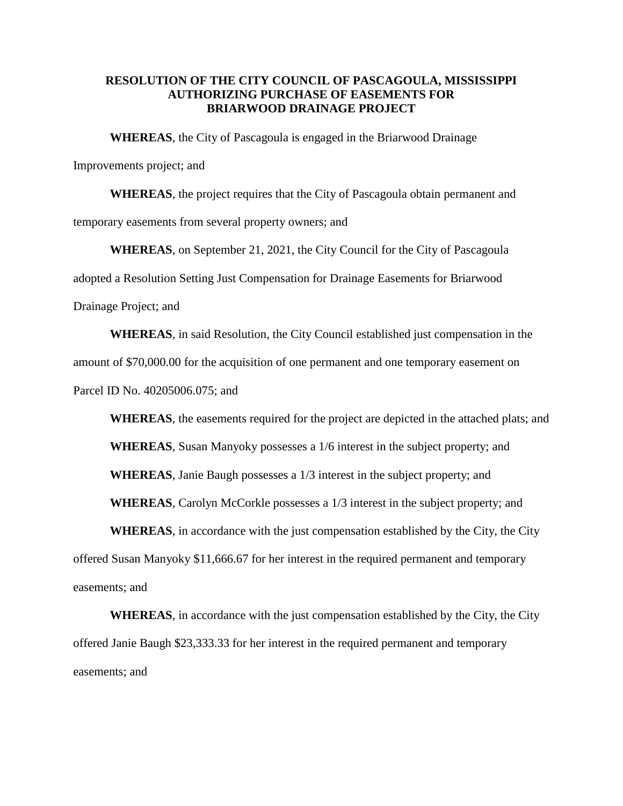## **RESOLUTION OF THE CITY COUNCIL OF PASCAGOULA, MISSISSIPPI AUTHORIZING PURCHASE OF EASEMENTS FOR BRIARWOOD DRAINAGE PROJECT**

**WHEREAS**, the City of Pascagoula is engaged in the Briarwood Drainage

Improvements project; and

**WHEREAS**, the project requires that the City of Pascagoula obtain permanent and temporary easements from several property owners; and

**WHEREAS**, on September 21, 2021, the City Council for the City of Pascagoula adopted a Resolution Setting Just Compensation for Drainage Easements for Briarwood Drainage Project; and

**WHEREAS**, in said Resolution, the City Council established just compensation in the amount of \$70,000.00 for the acquisition of one permanent and one temporary easement on Parcel ID No. 40205006.075; and

**WHEREAS**, the easements required for the project are depicted in the attached plats; and

**WHEREAS**, Susan Manyoky possesses a 1/6 interest in the subject property; and

**WHEREAS**, Janie Baugh possesses a 1/3 interest in the subject property; and

**WHEREAS**, Carolyn McCorkle possesses a 1/3 interest in the subject property; and

**WHEREAS**, in accordance with the just compensation established by the City, the City

offered Susan Manyoky \$11,666.67 for her interest in the required permanent and temporary easements; and

**WHEREAS**, in accordance with the just compensation established by the City, the City offered Janie Baugh \$23,333.33 for her interest in the required permanent and temporary easements; and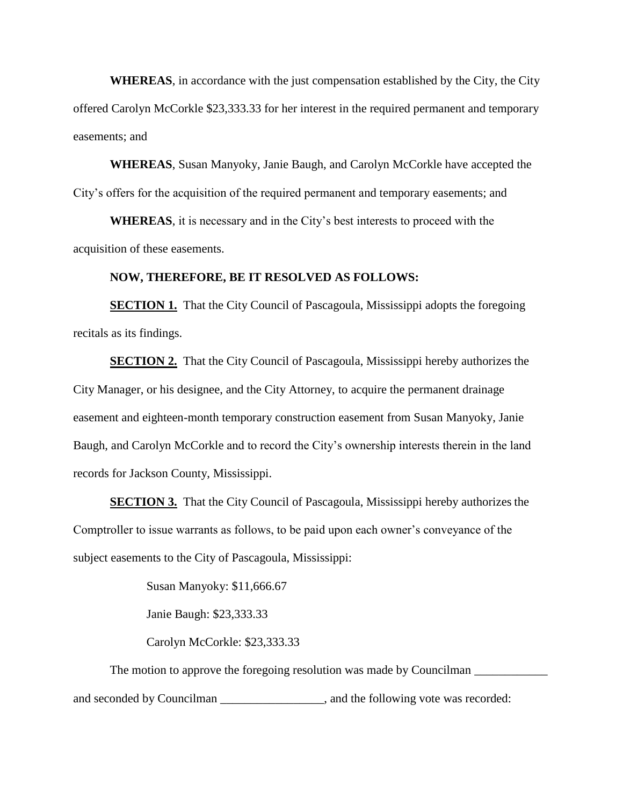**WHEREAS**, in accordance with the just compensation established by the City, the City offered Carolyn McCorkle \$23,333.33 for her interest in the required permanent and temporary easements; and

**WHEREAS**, Susan Manyoky, Janie Baugh, and Carolyn McCorkle have accepted the City's offers for the acquisition of the required permanent and temporary easements; and

**WHEREAS**, it is necessary and in the City's best interests to proceed with the acquisition of these easements.

## **NOW, THEREFORE, BE IT RESOLVED AS FOLLOWS:**

**SECTION 1.** That the City Council of Pascagoula, Mississippi adopts the foregoing recitals as its findings.

**SECTION 2.** That the City Council of Pascagoula, Mississippi hereby authorizes the City Manager, or his designee, and the City Attorney, to acquire the permanent drainage easement and eighteen-month temporary construction easement from Susan Manyoky, Janie Baugh, and Carolyn McCorkle and to record the City's ownership interests therein in the land records for Jackson County, Mississippi.

**SECTION 3.** That the City Council of Pascagoula, Mississippi hereby authorizes the Comptroller to issue warrants as follows, to be paid upon each owner's conveyance of the subject easements to the City of Pascagoula, Mississippi:

Susan Manyoky: \$11,666.67

Janie Baugh: \$23,333.33

Carolyn McCorkle: \$23,333.33

The motion to approve the foregoing resolution was made by Councilman and seconded by Councilman \_\_\_\_\_\_\_\_\_\_\_\_\_\_\_\_, and the following vote was recorded: